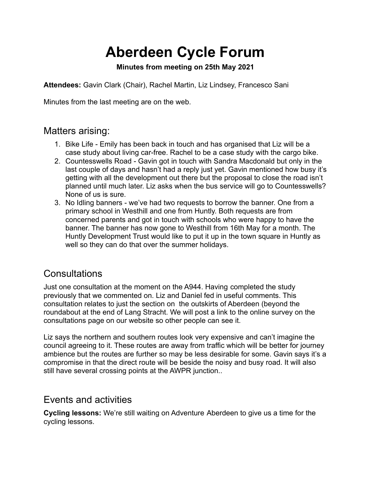# **Aberdeen Cycle Forum**

#### **Minutes from meeting on 25th May 2021**

**Attendees:** Gavin Clark (Chair), Rachel Martin, Liz Lindsey, Francesco Sani

Minutes from the last meeting are on the web.

### Matters arising:

- 1. Bike Life Emily has been back in touch and has organised that Liz will be a case study about living car-free. Rachel to be a case study with the cargo bike.
- 2. Countesswells Road Gavin got in touch with Sandra Macdonald but only in the last couple of days and hasn't had a reply just yet. Gavin mentioned how busy it's getting with all the development out there but the proposal to close the road isn't planned until much later. Liz asks when the bus service will go to Countesswells? None of us is sure.
- 3. No Idling banners we've had two requests to borrow the banner. One from a primary school in Westhill and one from Huntly. Both requests are from concerned parents and got in touch with schools who were happy to have the banner. The banner has now gone to Westhill from 16th May for a month. The Huntly Development Trust would like to put it up in the town square in Huntly as well so they can do that over the summer holidays.

## **Consultations**

Just one consultation at the moment on the A944. Having completed the study previously that we commented on. Liz and Daniel fed in useful comments. This consultation relates to just the section on the outskirts of Aberdeen (beyond the roundabout at the end of Lang Stracht. We will post a link to the online survey on the consultations page on our website so other people can see it.

Liz says the northern and southern routes look very expensive and can't imagine the council agreeing to it. These routes are away from traffic which will be better for journey ambience but the routes are further so may be less desirable for some. Gavin says it's a compromise in that the direct route will be beside the noisy and busy road. It will also still have several crossing points at the AWPR junction..

#### Events and activities

**Cycling lessons:** We're still waiting on Adventure Aberdeen to give us a time for the cycling lessons.